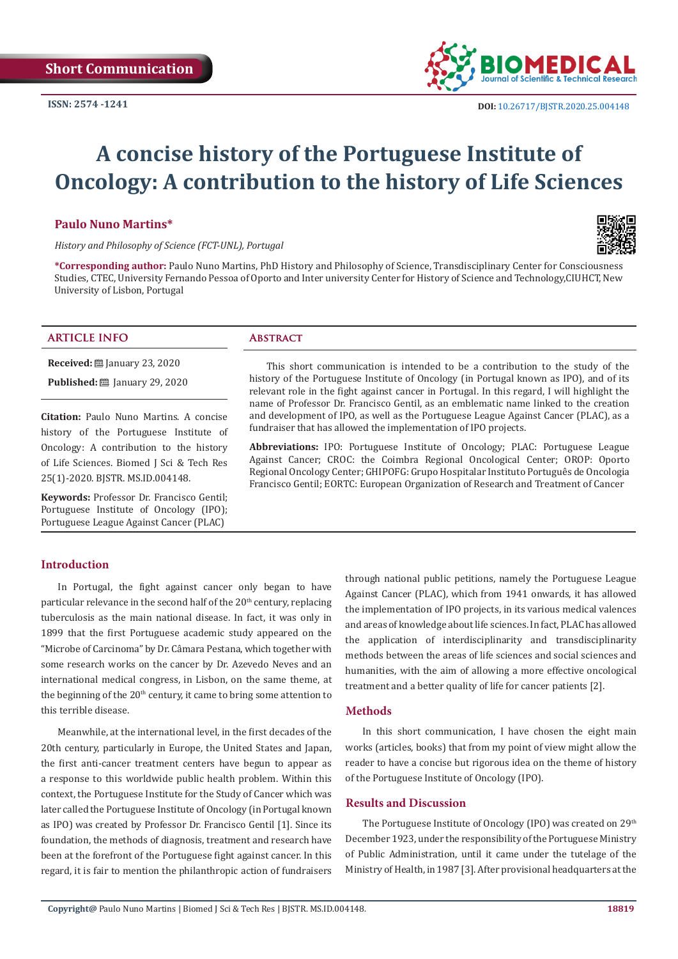

# **A concise history of the Portuguese Institute of Oncology: A contribution to the history of Life Sciences**

#### **Paulo Nuno Martins\***



*History and Philosophy of Science (FCT-UNL), Portugal*

**\*Corresponding author:** Paulo Nuno Martins, PhD History and Philosophy of Science, Transdisciplinary Center for Consciousness Studies, CTEC, University Fernando Pessoa of Oporto and Inter university Center for History of Science and Technology,CIUHCT, New University of Lisbon, Portugal

#### **ARTICLE INFO Abstract**

**Received:** ■ January 23, 2020

**Published:** ■ January 29, 2020

**Citation:** Paulo Nuno Martins. A concise history of the Portuguese Institute of Oncology: A contribution to the history of Life Sciences. Biomed J Sci & Tech Res 25(1)-2020. BJSTR. MS.ID.004148.

**Keywords:** Professor Dr. Francisco Gentil; Portuguese Institute of Oncology (IPO); Portuguese League Against Cancer (PLAC)

This short communication is intended to be a contribution to the study of the history of the Portuguese Institute of Oncology (in Portugal known as IPO), and of its relevant role in the fight against cancer in Portugal. In this regard, I will highlight the name of Professor Dr. Francisco Gentil, as an emblematic name linked to the creation and development of IPO, as well as the Portuguese League Against Cancer (PLAC), as a fundraiser that has allowed the implementation of IPO projects.

**Abbreviations:** IPO: Portuguese Institute of Oncology; PLAC: Portuguese League Against Cancer; CROC: the Coimbra Regional Oncological Center; OROP: Oporto Regional Oncology Center; GHIPOFG: Grupo Hospitalar Instituto Português de Oncologia Francisco Gentil; EORTC: European Organization of Research and Treatment of Cancer

### **Introduction**

In Portugal, the fight against cancer only began to have particular relevance in the second half of the 20<sup>th</sup> century, replacing tuberculosis as the main national disease. In fact, it was only in 1899 that the first Portuguese academic study appeared on the "Microbe of Carcinoma" by Dr. Câmara Pestana, which together with some research works on the cancer by Dr. Azevedo Neves and an international medical congress, in Lisbon, on the same theme, at the beginning of the 20<sup>th</sup> century, it came to bring some attention to this terrible disease.

Meanwhile, at the international level, in the first decades of the 20th century, particularly in Europe, the United States and Japan, the first anti-cancer treatment centers have begun to appear as a response to this worldwide public health problem. Within this context, the Portuguese Institute for the Study of Cancer which was later called the Portuguese Institute of Oncology (in Portugal known as IPO) was created by Professor Dr. Francisco Gentil [1]. Since its foundation, the methods of diagnosis, treatment and research have been at the forefront of the Portuguese fight against cancer. In this regard, it is fair to mention the philanthropic action of fundraisers

through national public petitions, namely the Portuguese League Against Cancer (PLAC), which from 1941 onwards, it has allowed the implementation of IPO projects, in its various medical valences and areas of knowledge about life sciences. In fact, PLAC has allowed the application of interdisciplinarity and transdisciplinarity methods between the areas of life sciences and social sciences and humanities, with the aim of allowing a more effective oncological treatment and a better quality of life for cancer patients [2].

#### **Methods**

In this short communication, I have chosen the eight main works (articles, books) that from my point of view might allow the reader to have a concise but rigorous idea on the theme of history of the Portuguese Institute of Oncology (IPO).

#### **Results and Discussion**

The Portuguese Institute of Oncology (IPO) was created on 29<sup>th</sup> December 1923, under the responsibility of the Portuguese Ministry of Public Administration, until it came under the tutelage of the Ministry of Health, in 1987 [3]. After provisional headquarters at the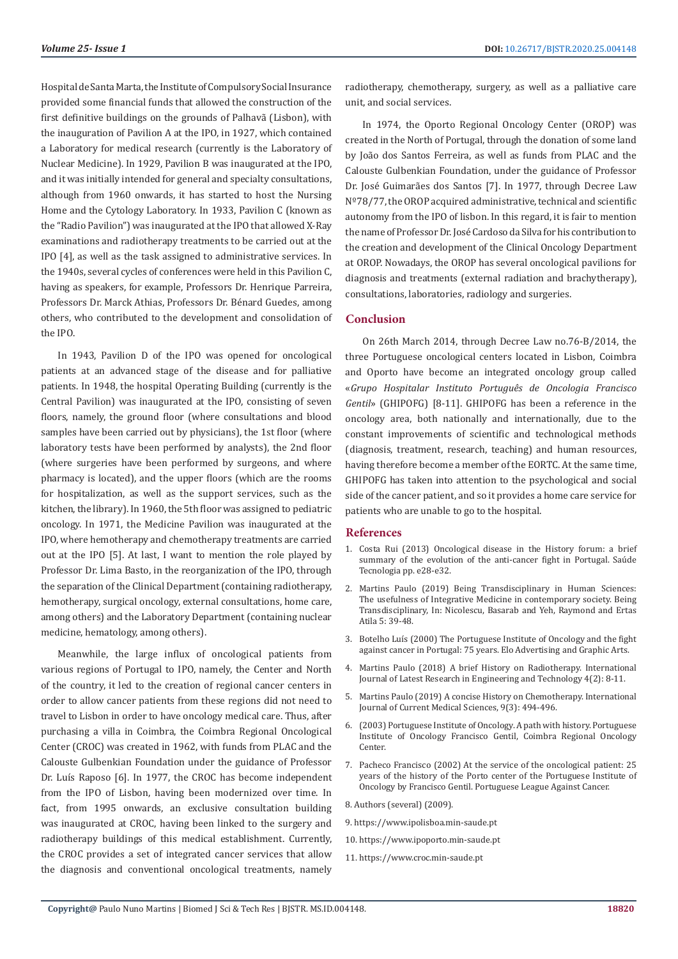Hospital de Santa Marta, the Institute of Compulsory Social Insurance provided some financial funds that allowed the construction of the first definitive buildings on the grounds of Palhavã (Lisbon), with the inauguration of Pavilion A at the IPO, in 1927, which contained a Laboratory for medical research (currently is the Laboratory of Nuclear Medicine). In 1929, Pavilion B was inaugurated at the IPO, and it was initially intended for general and specialty consultations, although from 1960 onwards, it has started to host the Nursing Home and the Cytology Laboratory. In 1933, Pavilion C (known as the "Radio Pavilion") was inaugurated at the IPO that allowed X-Ray examinations and radiotherapy treatments to be carried out at the IPO [4], as well as the task assigned to administrative services. In the 1940s, several cycles of conferences were held in this Pavilion C, having as speakers, for example, Professors Dr. Henrique Parreira, Professors Dr. Marck Athias, Professors Dr. Bénard Guedes, among others, who contributed to the development and consolidation of the IPO.

In 1943, Pavilion D of the IPO was opened for oncological patients at an advanced stage of the disease and for palliative patients. In 1948, the hospital Operating Building (currently is the Central Pavilion) was inaugurated at the IPO, consisting of seven floors, namely, the ground floor (where consultations and blood samples have been carried out by physicians), the 1st floor (where laboratory tests have been performed by analysts), the 2nd floor (where surgeries have been performed by surgeons, and where pharmacy is located), and the upper floors (which are the rooms for hospitalization, as well as the support services, such as the kitchen, the library). In 1960, the 5th floor was assigned to pediatric oncology. In 1971, the Medicine Pavilion was inaugurated at the IPO, where hemotherapy and chemotherapy treatments are carried out at the IPO [5]. At last, I want to mention the role played by Professor Dr. Lima Basto, in the reorganization of the IPO, through the separation of the Clinical Department (containing radiotherapy, hemotherapy, surgical oncology, external consultations, home care, among others) and the Laboratory Department (containing nuclear medicine, hematology, among others).

Meanwhile, the large influx of oncological patients from various regions of Portugal to IPO, namely, the Center and North of the country, it led to the creation of regional cancer centers in order to allow cancer patients from these regions did not need to travel to Lisbon in order to have oncology medical care. Thus, after purchasing a villa in Coimbra, the Coimbra Regional Oncological Center (CROC) was created in 1962, with funds from PLAC and the Calouste Gulbenkian Foundation under the guidance of Professor Dr. Luís Raposo [6]. In 1977, the CROC has become independent from the IPO of Lisbon, having been modernized over time. In fact, from 1995 onwards, an exclusive consultation building was inaugurated at CROC, having been linked to the surgery and radiotherapy buildings of this medical establishment. Currently, the CROC provides a set of integrated cancer services that allow the diagnosis and conventional oncological treatments, namely

radiotherapy, chemotherapy, surgery, as well as a palliative care unit, and social services.

In 1974, the Oporto Regional Oncology Center (OROP) was created in the North of Portugal, through the donation of some land by João dos Santos Ferreira, as well as funds from PLAC and the Calouste Gulbenkian Foundation, under the guidance of Professor Dr. José Guimarães dos Santos [7]. In 1977, through Decree Law Nº78/77, the OROP acquired administrative, technical and scientific autonomy from the IPO of lisbon. In this regard, it is fair to mention the name of Professor Dr. José Cardoso da Silva for his contribution to the creation and development of the Clinical Oncology Department at OROP. Nowadays, the OROP has several oncological pavilions for diagnosis and treatments (external radiation and brachytherapy), consultations, laboratories, radiology and surgeries.

#### **Conclusion**

On 26th March 2014, through Decree Law no.76-B/2014, the three Portuguese oncological centers located in Lisbon, Coimbra and Oporto have become an integrated oncology group called «*Grupo Hospitalar Instituto Português de Oncologia Francisco Gentil*» (GHIPOFG) [8-11]. GHIPOFG has been a reference in the oncology area, both nationally and internationally, due to the constant improvements of scientific and technological methods (diagnosis, treatment, research, teaching) and human resources, having therefore become a member of the EORTC. At the same time, GHIPOFG has taken into attention to the psychological and social side of the cancer patient, and so it provides a home care service for patients who are unable to go to the hospital.

#### **References**

- 1. Costa Rui (2013) Oncological disease in the History forum: a brief summary of the evolution of the anti-cancer fight in Portugal. Saúde Tecnologia pp. e28-e32.
- 2. [Martins Paulo \(2019\) Being Transdisciplinary in Human Sciences:](https://www.researchgate.net/publication/326710295_Being_Transdisciplinary_in_Human_Sciences_The_usefulness_of_Integrative_Medicine_in_contemporary_society) [The usefulness of Integrative Medicine in contemporary society. Being](https://www.researchgate.net/publication/326710295_Being_Transdisciplinary_in_Human_Sciences_The_usefulness_of_Integrative_Medicine_in_contemporary_society) [Transdisciplinary, In: Nicolescu, Basarab and Yeh, Raymond and Ertas](https://www.researchgate.net/publication/326710295_Being_Transdisciplinary_in_Human_Sciences_The_usefulness_of_Integrative_Medicine_in_contemporary_society) [Atila 5: 39-48.](https://www.researchgate.net/publication/326710295_Being_Transdisciplinary_in_Human_Sciences_The_usefulness_of_Integrative_Medicine_in_contemporary_society)
- 3. Botelho Luís (2000) The Portuguese Institute of Oncology and the fight against cancer in Portugal: 75 years. Elo Advertising and Graphic Arts.
- 4. [Martins Paulo \(2018\) A brief History on Radiotherapy. International](http://www.ijlret.com/Papers/Vol-04-issue-02/2.B2018016.pdf) [Journal of Latest Research in Engineering and Technology 4\(2\): 8-11.](http://www.ijlret.com/Papers/Vol-04-issue-02/2.B2018016.pdf)
- 5. [Martins Paulo \(2019\) A concise History on Chemotherapy. International](https://www.researchgate.net/publication/334279594_A_concise_history_on_chemotherapy) [Journal of Current Medical Sciences, 9\(3\): 494-496.](https://www.researchgate.net/publication/334279594_A_concise_history_on_chemotherapy)
- 6. (2003) Portuguese Institute of Oncology. A path with history. Portuguese Institute of Oncology Francisco Gentil, Coimbra Regional Oncology Center.
- 7. Pacheco Francisco (2002) At the service of the oncological patient: 25 years of the history of the Porto center of the Portuguese Institute of Oncology by Francisco Gentil. Portuguese League Against Cancer.
- 8. Authors (several) (2009).
- 9. https://www.ipolisboa.min-saude.pt
- 10. https://www.ipoporto.min-saude.pt
- 11. https://www.croc.min-saude.pt